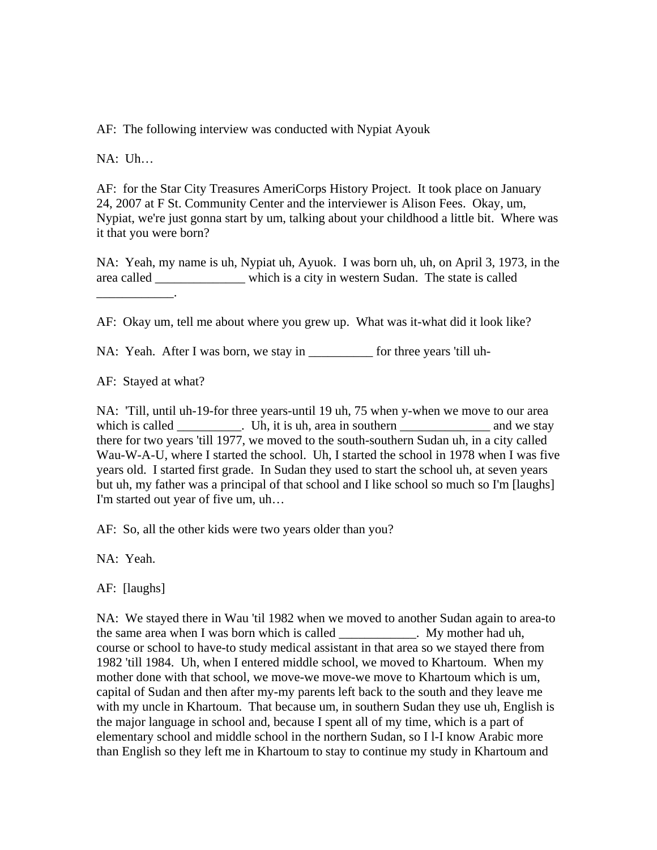AF: The following interview was conducted with Nypiat Ayouk

NA: Uh…

AF: for the Star City Treasures AmeriCorps History Project. It took place on January 24, 2007 at F St. Community Center and the interviewer is Alison Fees. Okay, um, Nypiat, we're just gonna start by um, talking about your childhood a little bit. Where was it that you were born?

NA: Yeah, my name is uh, Nypiat uh, Ayuok. I was born uh, uh, on April 3, 1973, in the area called \_\_\_\_\_\_\_\_\_\_\_\_\_\_ which is a city in western Sudan. The state is called  $\frac{1}{2}$  and  $\frac{1}{2}$  and  $\frac{1}{2}$  and  $\frac{1}{2}$ 

AF: Okay um, tell me about where you grew up. What was it-what did it look like?

NA: Yeah. After I was born, we stay in \_\_\_\_\_\_\_\_\_\_ for three years 'till uh-

AF: Stayed at what?

NA: 'Till, until uh-19-for three years-until 19 uh, 75 when y-when we move to our area which is called \_\_\_\_\_\_\_\_\_. Uh, it is uh, area in southern \_\_\_\_\_\_\_\_\_\_\_\_\_\_\_\_\_\_\_\_\_\_ and we stay there for two years 'till 1977, we moved to the south-southern Sudan uh, in a city called Wau-W-A-U, where I started the school. Uh, I started the school in 1978 when I was five years old. I started first grade. In Sudan they used to start the school uh, at seven years but uh, my father was a principal of that school and I like school so much so I'm [laughs] I'm started out year of five um, uh…

AF: So, all the other kids were two years older than you?

NA: Yeah.

AF: [laughs]

NA: We stayed there in Wau 'til 1982 when we moved to another Sudan again to area-to the same area when I was born which is called \_\_\_\_\_\_\_\_\_\_\_\_. My mother had uh, course or school to have-to study medical assistant in that area so we stayed there from 1982 'till 1984. Uh, when I entered middle school, we moved to Khartoum. When my mother done with that school, we move-we move-we move to Khartoum which is um, capital of Sudan and then after my-my parents left back to the south and they leave me with my uncle in Khartoum. That because um, in southern Sudan they use uh, English is the major language in school and, because I spent all of my time, which is a part of elementary school and middle school in the northern Sudan, so I l-I know Arabic more than English so they left me in Khartoum to stay to continue my study in Khartoum and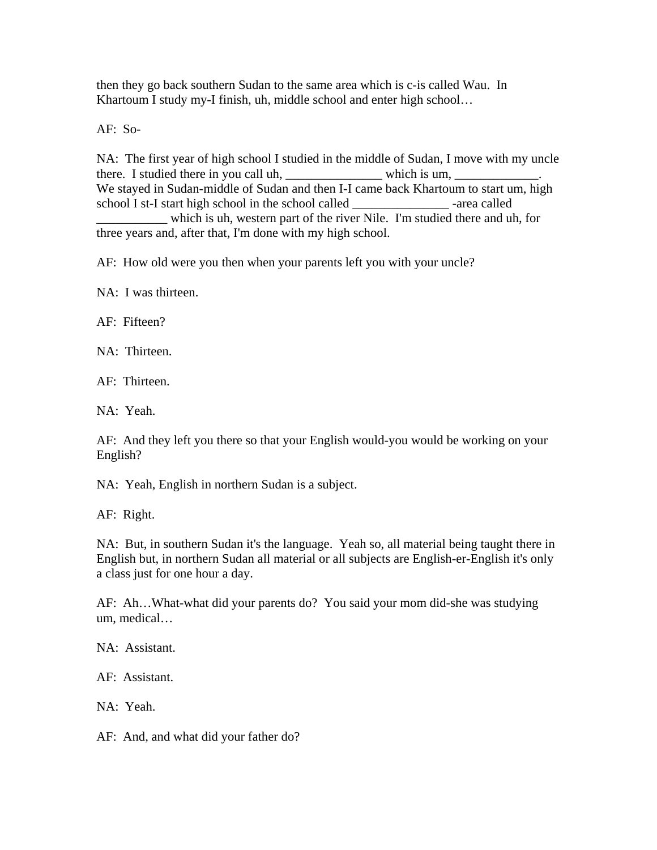then they go back southern Sudan to the same area which is c-is called Wau. In Khartoum I study my-I finish, uh, middle school and enter high school…

AF: So-

NA: The first year of high school I studied in the middle of Sudan, I move with my uncle there. I studied there in you call uh, \_\_\_\_\_\_\_\_\_\_\_\_\_\_\_\_\_\_\_\_\_\_ which is um, \_\_\_\_\_\_\_\_\_\_\_\_ We stayed in Sudan-middle of Sudan and then I-I came back Khartoum to start um, high school I st-I start high school in the school called -area called

\_\_\_\_\_\_\_\_\_\_\_ which is uh, western part of the river Nile. I'm studied there and uh, for three years and, after that, I'm done with my high school.

AF: How old were you then when your parents left you with your uncle?

NA: I was thirteen.

AF: Fifteen?

NA: Thirteen.

AF: Thirteen.

NA: Yeah.

AF: And they left you there so that your English would-you would be working on your English?

NA: Yeah, English in northern Sudan is a subject.

AF: Right.

NA: But, in southern Sudan it's the language. Yeah so, all material being taught there in English but, in northern Sudan all material or all subjects are English-er-English it's only a class just for one hour a day.

AF: Ah…What-what did your parents do? You said your mom did-she was studying um, medical…

NA: Assistant.

AF: Assistant.

NA: Yeah.

AF: And, and what did your father do?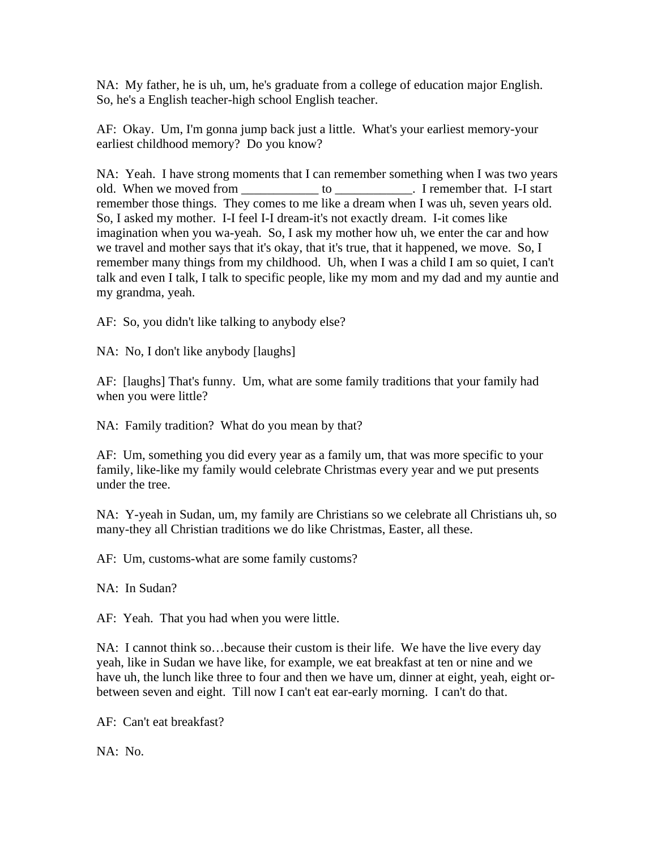NA: My father, he is uh, um, he's graduate from a college of education major English. So, he's a English teacher-high school English teacher.

AF: Okay. Um, I'm gonna jump back just a little. What's your earliest memory-your earliest childhood memory? Do you know?

NA: Yeah. I have strong moments that I can remember something when I was two years old. When we moved from \_\_\_\_\_\_\_\_\_\_\_\_\_ to \_\_\_\_\_\_\_\_\_\_\_. I remember that. I-I start remember those things. They comes to me like a dream when I was uh, seven years old. So, I asked my mother. I-I feel I-I dream-it's not exactly dream. I-it comes like imagination when you wa-yeah. So, I ask my mother how uh, we enter the car and how we travel and mother says that it's okay, that it's true, that it happened, we move. So, I remember many things from my childhood. Uh, when I was a child I am so quiet, I can't talk and even I talk, I talk to specific people, like my mom and my dad and my auntie and my grandma, yeah.

AF: So, you didn't like talking to anybody else?

NA: No, I don't like anybody [laughs]

AF: [laughs] That's funny. Um, what are some family traditions that your family had when you were little?

NA: Family tradition? What do you mean by that?

AF: Um, something you did every year as a family um, that was more specific to your family, like-like my family would celebrate Christmas every year and we put presents under the tree.

NA: Y-yeah in Sudan, um, my family are Christians so we celebrate all Christians uh, so many-they all Christian traditions we do like Christmas, Easter, all these.

AF: Um, customs-what are some family customs?

NA: In Sudan?

AF: Yeah. That you had when you were little.

NA: I cannot think so…because their custom is their life. We have the live every day yeah, like in Sudan we have like, for example, we eat breakfast at ten or nine and we have uh, the lunch like three to four and then we have um, dinner at eight, yeah, eight orbetween seven and eight. Till now I can't eat ear-early morning. I can't do that.

AF: Can't eat breakfast?

NA: No.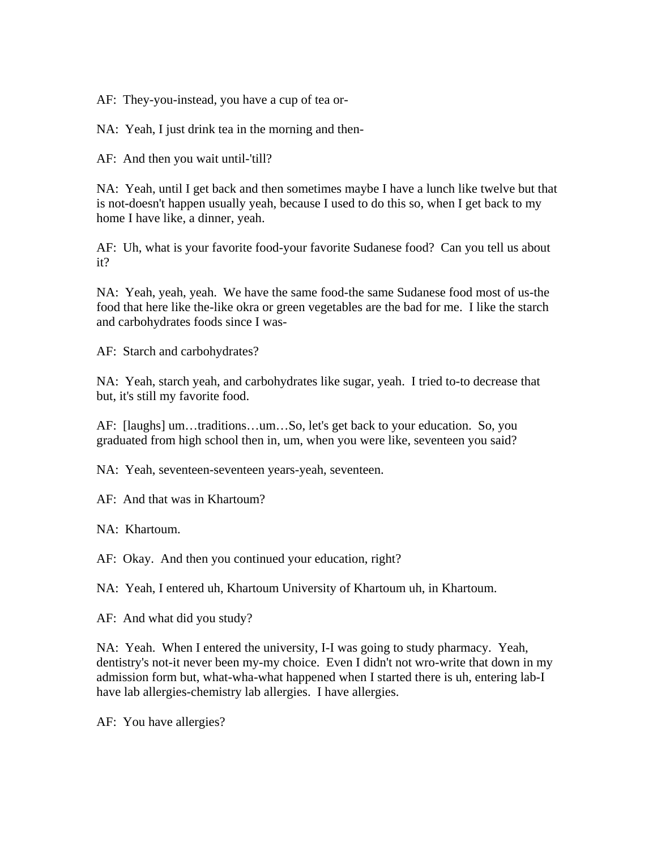AF: They-you-instead, you have a cup of tea or-

NA: Yeah, I just drink tea in the morning and then-

AF: And then you wait until-'till?

NA: Yeah, until I get back and then sometimes maybe I have a lunch like twelve but that is not-doesn't happen usually yeah, because I used to do this so, when I get back to my home I have like, a dinner, yeah.

AF: Uh, what is your favorite food-your favorite Sudanese food? Can you tell us about it?

NA: Yeah, yeah, yeah. We have the same food-the same Sudanese food most of us-the food that here like the-like okra or green vegetables are the bad for me. I like the starch and carbohydrates foods since I was-

AF: Starch and carbohydrates?

NA: Yeah, starch yeah, and carbohydrates like sugar, yeah. I tried to-to decrease that but, it's still my favorite food.

AF: [laughs] um…traditions…um…So, let's get back to your education. So, you graduated from high school then in, um, when you were like, seventeen you said?

NA: Yeah, seventeen-seventeen years-yeah, seventeen.

AF: And that was in Khartoum?

NA: Khartoum.

AF: Okay. And then you continued your education, right?

NA: Yeah, I entered uh, Khartoum University of Khartoum uh, in Khartoum.

AF: And what did you study?

NA: Yeah. When I entered the university, I-I was going to study pharmacy. Yeah, dentistry's not-it never been my-my choice. Even I didn't not wro-write that down in my admission form but, what-wha-what happened when I started there is uh, entering lab-I have lab allergies-chemistry lab allergies. I have allergies.

AF: You have allergies?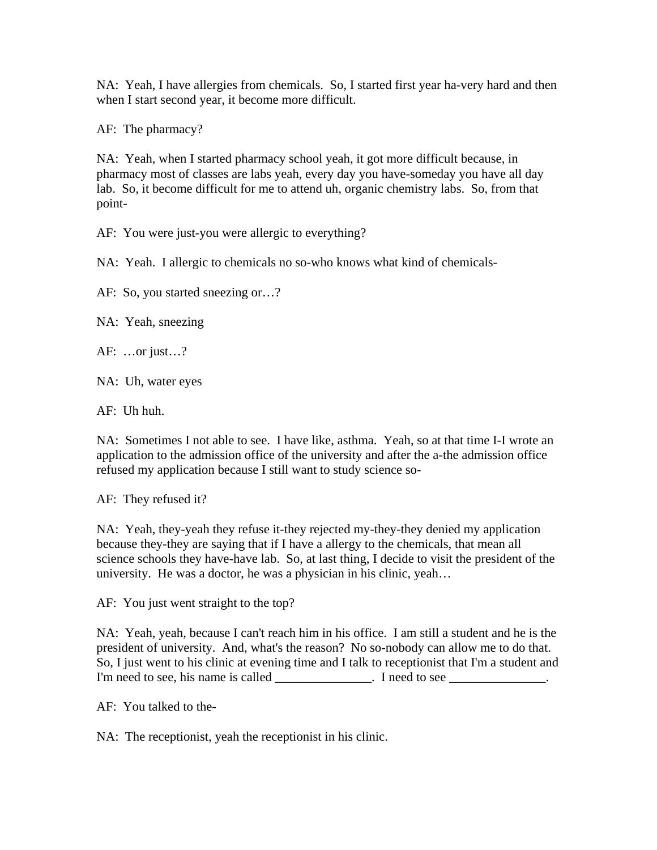NA: Yeah, I have allergies from chemicals. So, I started first year ha-very hard and then when I start second year, it become more difficult.

AF: The pharmacy?

NA: Yeah, when I started pharmacy school yeah, it got more difficult because, in pharmacy most of classes are labs yeah, every day you have-someday you have all day lab. So, it become difficult for me to attend uh, organic chemistry labs. So, from that point-

AF: You were just-you were allergic to everything?

NA: Yeah. I allergic to chemicals no so-who knows what kind of chemicals-

AF: So, you started sneezing or…?

NA: Yeah, sneezing

AF: …or just…?

NA: Uh, water eyes

AF: Uh huh.

NA: Sometimes I not able to see. I have like, asthma. Yeah, so at that time I-I wrote an application to the admission office of the university and after the a-the admission office refused my application because I still want to study science so-

AF: They refused it?

NA: Yeah, they-yeah they refuse it-they rejected my-they-they denied my application because they-they are saying that if I have a allergy to the chemicals, that mean all science schools they have-have lab. So, at last thing, I decide to visit the president of the university. He was a doctor, he was a physician in his clinic, yeah…

AF: You just went straight to the top?

NA: Yeah, yeah, because I can't reach him in his office. I am still a student and he is the president of university. And, what's the reason? No so-nobody can allow me to do that. So, I just went to his clinic at evening time and I talk to receptionist that I'm a student and I'm need to see, his name is called \_\_\_\_\_\_\_\_\_\_\_\_\_\_. I need to see \_\_\_\_\_\_\_\_\_\_\_\_\_.

AF: You talked to the-

NA: The receptionist, yeah the receptionist in his clinic.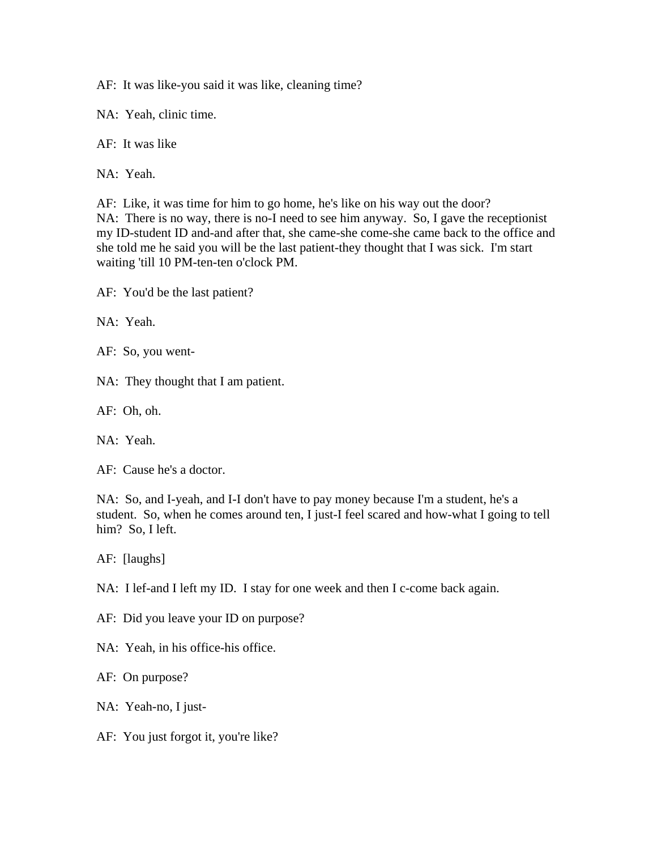AF: It was like-you said it was like, cleaning time?

NA: Yeah, clinic time.

AF: It was like

NA: Yeah.

AF: Like, it was time for him to go home, he's like on his way out the door? NA: There is no way, there is no-I need to see him anyway. So, I gave the receptionist my ID-student ID and-and after that, she came-she come-she came back to the office and she told me he said you will be the last patient-they thought that I was sick. I'm start waiting 'till 10 PM-ten-ten o'clock PM.

AF: You'd be the last patient?

NA: Yeah.

AF: So, you went-

NA: They thought that I am patient.

AF: Oh, oh.

NA: Yeah.

AF: Cause he's a doctor.

NA: So, and I-yeah, and I-I don't have to pay money because I'm a student, he's a student. So, when he comes around ten, I just-I feel scared and how-what I going to tell him? So, I left.

AF: [laughs]

NA: I lef-and I left my ID. I stay for one week and then I c-come back again.

AF: Did you leave your ID on purpose?

NA: Yeah, in his office-his office.

AF: On purpose?

NA: Yeah-no, I just-

AF: You just forgot it, you're like?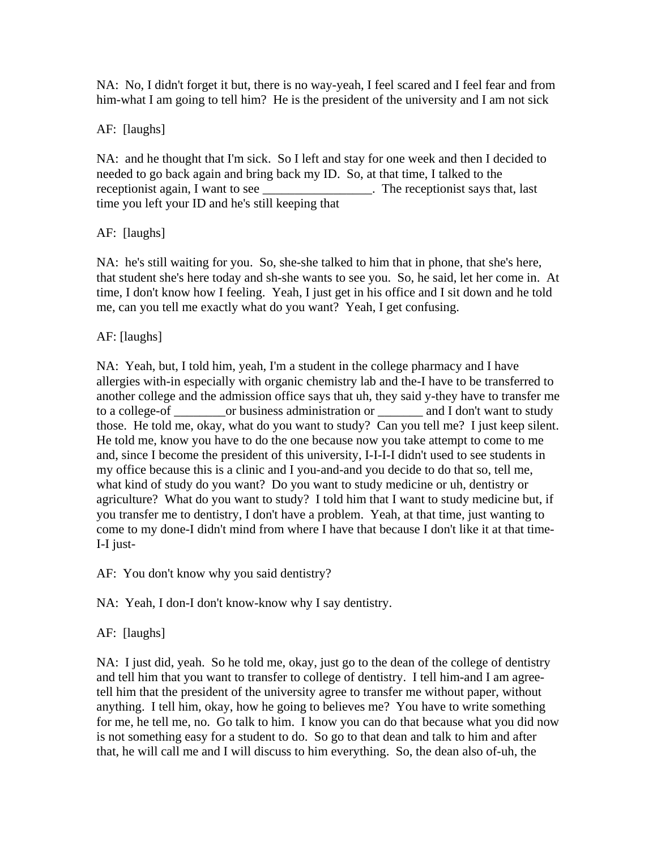NA: No, I didn't forget it but, there is no way-yeah, I feel scared and I feel fear and from him-what I am going to tell him? He is the president of the university and I am not sick

## AF: [laughs]

NA: and he thought that I'm sick. So I left and stay for one week and then I decided to needed to go back again and bring back my ID. So, at that time, I talked to the receptionist again, I want to see \_\_\_\_\_\_\_\_\_\_\_\_\_\_\_\_\_\_. The receptionist says that, last time you left your ID and he's still keeping that

# AF: [laughs]

NA: he's still waiting for you. So, she-she talked to him that in phone, that she's here, that student she's here today and sh-she wants to see you. So, he said, let her come in. At time, I don't know how I feeling. Yeah, I just get in his office and I sit down and he told me, can you tell me exactly what do you want? Yeah, I get confusing.

# AF: [laughs]

NA: Yeah, but, I told him, yeah, I'm a student in the college pharmacy and I have allergies with-in especially with organic chemistry lab and the-I have to be transferred to another college and the admission office says that uh, they said y-they have to transfer me to a college-of \_\_\_\_\_\_\_\_or business administration or \_\_\_\_\_\_\_ and I don't want to study those. He told me, okay, what do you want to study? Can you tell me? I just keep silent. He told me, know you have to do the one because now you take attempt to come to me and, since I become the president of this university, I-I-I-I didn't used to see students in my office because this is a clinic and I you-and-and you decide to do that so, tell me, what kind of study do you want? Do you want to study medicine or uh, dentistry or agriculture? What do you want to study? I told him that I want to study medicine but, if you transfer me to dentistry, I don't have a problem. Yeah, at that time, just wanting to come to my done-I didn't mind from where I have that because I don't like it at that time-I-I just-

AF: You don't know why you said dentistry?

NA: Yeah, I don-I don't know-know why I say dentistry.

## AF: [laughs]

NA: I just did, yeah. So he told me, okay, just go to the dean of the college of dentistry and tell him that you want to transfer to college of dentistry. I tell him-and I am agreetell him that the president of the university agree to transfer me without paper, without anything. I tell him, okay, how he going to believes me? You have to write something for me, he tell me, no. Go talk to him. I know you can do that because what you did now is not something easy for a student to do. So go to that dean and talk to him and after that, he will call me and I will discuss to him everything. So, the dean also of-uh, the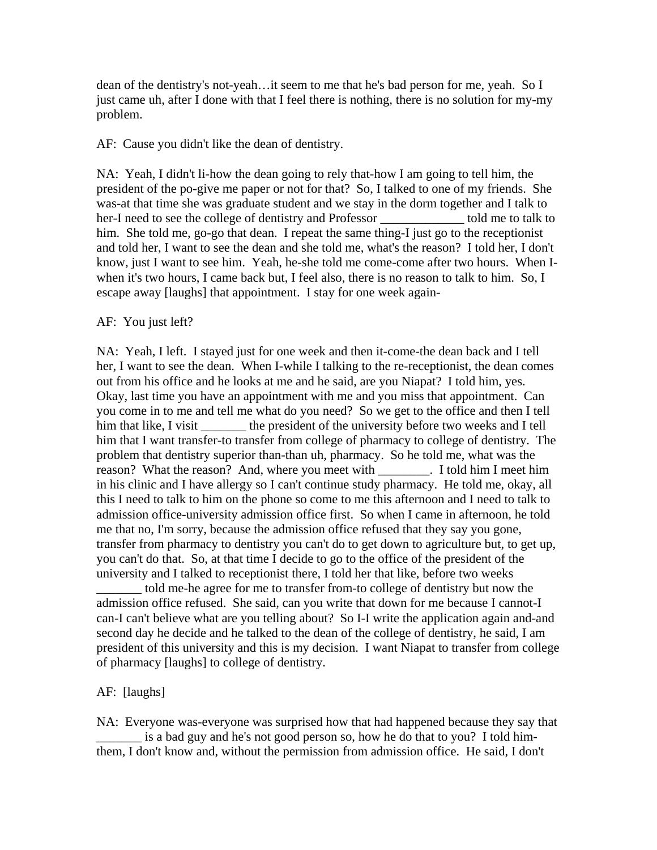dean of the dentistry's not-yeah…it seem to me that he's bad person for me, yeah. So I just came uh, after I done with that I feel there is nothing, there is no solution for my-my problem.

AF: Cause you didn't like the dean of dentistry.

NA: Yeah, I didn't li-how the dean going to rely that-how I am going to tell him, the president of the po-give me paper or not for that? So, I talked to one of my friends. She was-at that time she was graduate student and we stay in the dorm together and I talk to her-I need to see the college of dentistry and Professor \_\_\_\_\_\_\_\_\_\_\_\_\_\_ told me to talk to him. She told me, go-go that dean. I repeat the same thing-I just go to the receptionist and told her, I want to see the dean and she told me, what's the reason? I told her, I don't know, just I want to see him. Yeah, he-she told me come-come after two hours. When Iwhen it's two hours, I came back but, I feel also, there is no reason to talk to him. So, I escape away [laughs] that appointment. I stay for one week again-

### AF: You just left?

NA: Yeah, I left. I stayed just for one week and then it-come-the dean back and I tell her, I want to see the dean. When I-while I talking to the re-receptionist, the dean comes out from his office and he looks at me and he said, are you Niapat? I told him, yes. Okay, last time you have an appointment with me and you miss that appointment. Can you come in to me and tell me what do you need? So we get to the office and then I tell him that like, I visit the president of the university before two weeks and I tell him that I want transfer-to transfer from college of pharmacy to college of dentistry. The problem that dentistry superior than-than uh, pharmacy. So he told me, what was the reason? What the reason? And, where you meet with \_\_\_\_\_\_\_\_. I told him I meet him in his clinic and I have allergy so I can't continue study pharmacy. He told me, okay, all this I need to talk to him on the phone so come to me this afternoon and I need to talk to admission office-university admission office first. So when I came in afternoon, he told me that no, I'm sorry, because the admission office refused that they say you gone, transfer from pharmacy to dentistry you can't do to get down to agriculture but, to get up, you can't do that. So, at that time I decide to go to the office of the president of the university and I talked to receptionist there, I told her that like, before two weeks

\_\_\_\_\_\_\_ told me-he agree for me to transfer from-to college of dentistry but now the admission office refused. She said, can you write that down for me because I cannot-I can-I can't believe what are you telling about? So I-I write the application again and-and second day he decide and he talked to the dean of the college of dentistry, he said, I am president of this university and this is my decision. I want Niapat to transfer from college of pharmacy [laughs] to college of dentistry.

## AF: [laughs]

NA: Everyone was-everyone was surprised how that had happened because they say that \_\_\_\_\_\_\_ is a bad guy and he's not good person so, how he do that to you? I told himthem, I don't know and, without the permission from admission office. He said, I don't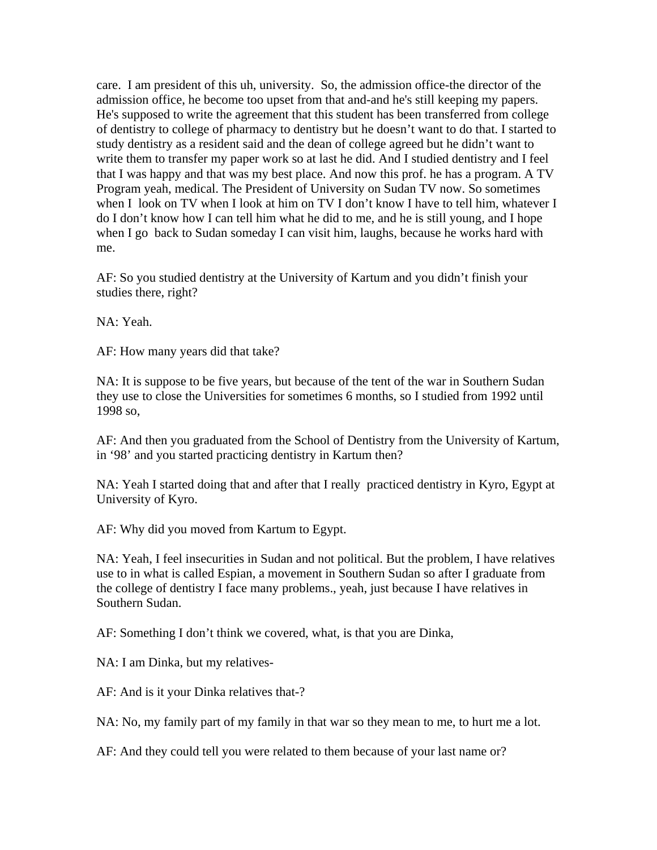care. I am president of this uh, university. So, the admission office-the director of the admission office, he become too upset from that and-and he's still keeping my papers. He's supposed to write the agreement that this student has been transferred from college of dentistry to college of pharmacy to dentistry but he doesn't want to do that. I started to study dentistry as a resident said and the dean of college agreed but he didn't want to write them to transfer my paper work so at last he did. And I studied dentistry and I feel that I was happy and that was my best place. And now this prof. he has a program. A TV Program yeah, medical. The President of University on Sudan TV now. So sometimes when I look on TV when I look at him on TV I don't know I have to tell him, whatever I do I don't know how I can tell him what he did to me, and he is still young, and I hope when I go back to Sudan someday I can visit him, laughs, because he works hard with me.

AF: So you studied dentistry at the University of Kartum and you didn't finish your studies there, right?

NA: Yeah.

AF: How many years did that take?

NA: It is suppose to be five years, but because of the tent of the war in Southern Sudan they use to close the Universities for sometimes 6 months, so I studied from 1992 until 1998 so,

AF: And then you graduated from the School of Dentistry from the University of Kartum, in '98' and you started practicing dentistry in Kartum then?

NA: Yeah I started doing that and after that I really practiced dentistry in Kyro, Egypt at University of Kyro.

AF: Why did you moved from Kartum to Egypt.

NA: Yeah, I feel insecurities in Sudan and not political. But the problem, I have relatives use to in what is called Espian, a movement in Southern Sudan so after I graduate from the college of dentistry I face many problems., yeah, just because I have relatives in Southern Sudan.

AF: Something I don't think we covered, what, is that you are Dinka,

NA: I am Dinka, but my relatives-

AF: And is it your Dinka relatives that-?

NA: No, my family part of my family in that war so they mean to me, to hurt me a lot.

AF: And they could tell you were related to them because of your last name or?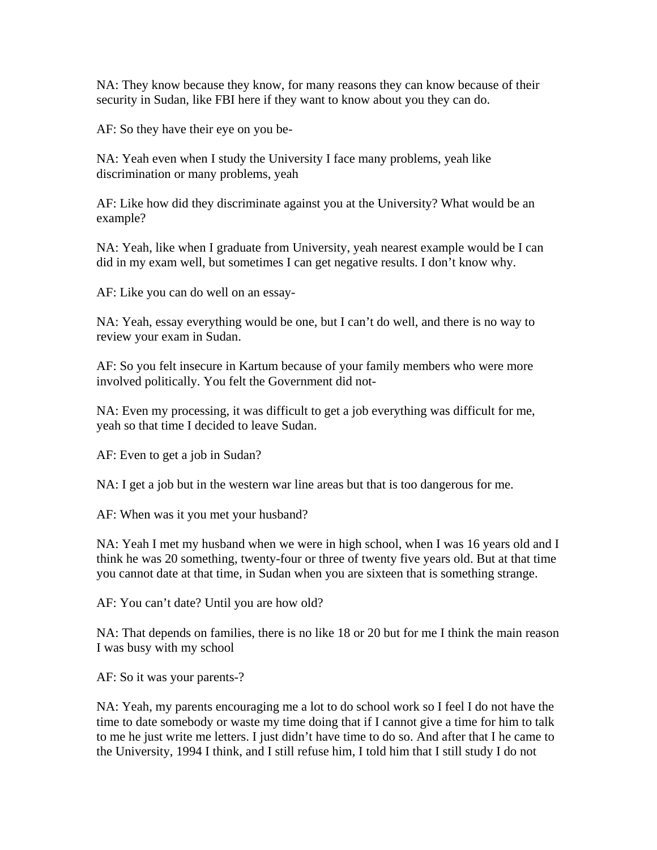NA: They know because they know, for many reasons they can know because of their security in Sudan, like FBI here if they want to know about you they can do.

AF: So they have their eye on you be-

NA: Yeah even when I study the University I face many problems, yeah like discrimination or many problems, yeah

AF: Like how did they discriminate against you at the University? What would be an example?

NA: Yeah, like when I graduate from University, yeah nearest example would be I can did in my exam well, but sometimes I can get negative results. I don't know why.

AF: Like you can do well on an essay-

NA: Yeah, essay everything would be one, but I can't do well, and there is no way to review your exam in Sudan.

AF: So you felt insecure in Kartum because of your family members who were more involved politically. You felt the Government did not-

NA: Even my processing, it was difficult to get a job everything was difficult for me, yeah so that time I decided to leave Sudan.

AF: Even to get a job in Sudan?

NA: I get a job but in the western war line areas but that is too dangerous for me.

AF: When was it you met your husband?

NA: Yeah I met my husband when we were in high school, when I was 16 years old and I think he was 20 something, twenty-four or three of twenty five years old. But at that time you cannot date at that time, in Sudan when you are sixteen that is something strange.

AF: You can't date? Until you are how old?

NA: That depends on families, there is no like 18 or 20 but for me I think the main reason I was busy with my school

AF: So it was your parents-?

NA: Yeah, my parents encouraging me a lot to do school work so I feel I do not have the time to date somebody or waste my time doing that if I cannot give a time for him to talk to me he just write me letters. I just didn't have time to do so. And after that I he came to the University, 1994 I think, and I still refuse him, I told him that I still study I do not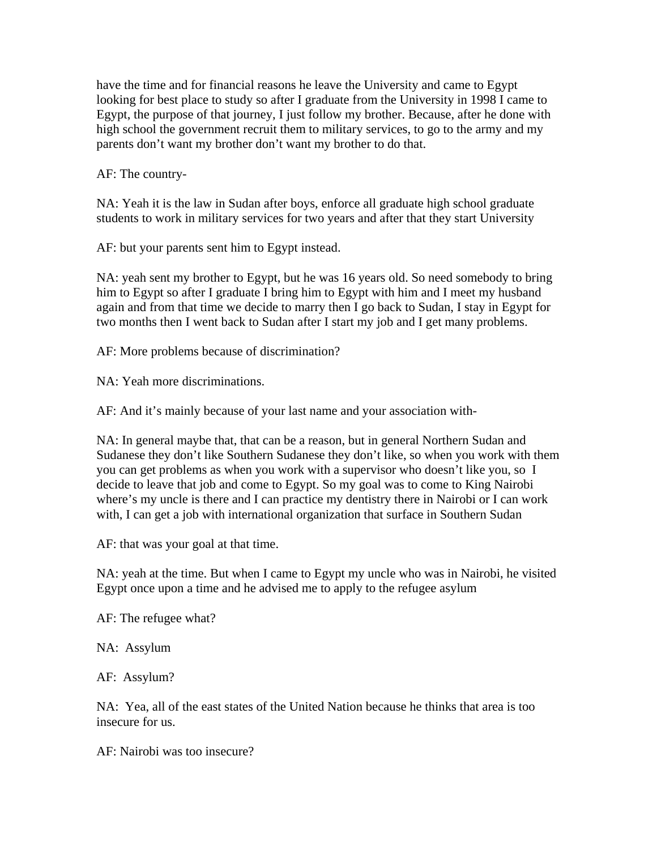have the time and for financial reasons he leave the University and came to Egypt looking for best place to study so after I graduate from the University in 1998 I came to Egypt, the purpose of that journey, I just follow my brother. Because, after he done with high school the government recruit them to military services, to go to the army and my parents don't want my brother don't want my brother to do that.

AF: The country-

NA: Yeah it is the law in Sudan after boys, enforce all graduate high school graduate students to work in military services for two years and after that they start University

AF: but your parents sent him to Egypt instead.

NA: yeah sent my brother to Egypt, but he was 16 years old. So need somebody to bring him to Egypt so after I graduate I bring him to Egypt with him and I meet my husband again and from that time we decide to marry then I go back to Sudan, I stay in Egypt for two months then I went back to Sudan after I start my job and I get many problems.

AF: More problems because of discrimination?

NA: Yeah more discriminations.

AF: And it's mainly because of your last name and your association with-

NA: In general maybe that, that can be a reason, but in general Northern Sudan and Sudanese they don't like Southern Sudanese they don't like, so when you work with them you can get problems as when you work with a supervisor who doesn't like you, so I decide to leave that job and come to Egypt. So my goal was to come to King Nairobi where's my uncle is there and I can practice my dentistry there in Nairobi or I can work with, I can get a job with international organization that surface in Southern Sudan

AF: that was your goal at that time.

NA: yeah at the time. But when I came to Egypt my uncle who was in Nairobi, he visited Egypt once upon a time and he advised me to apply to the refugee asylum

AF: The refugee what?

NA: Assylum

AF: Assylum?

NA: Yea, all of the east states of the United Nation because he thinks that area is too insecure for us.

AF: Nairobi was too insecure?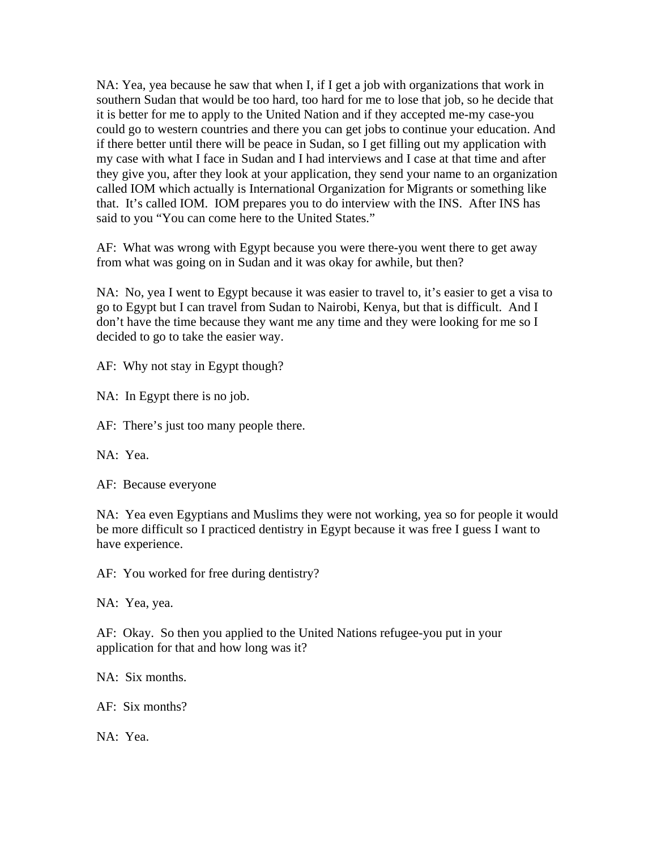NA: Yea, yea because he saw that when I, if I get a job with organizations that work in southern Sudan that would be too hard, too hard for me to lose that job, so he decide that it is better for me to apply to the United Nation and if they accepted me-my case-you could go to western countries and there you can get jobs to continue your education. And if there better until there will be peace in Sudan, so I get filling out my application with my case with what I face in Sudan and I had interviews and I case at that time and after they give you, after they look at your application, they send your name to an organization called IOM which actually is International Organization for Migrants or something like that. It's called IOM. IOM prepares you to do interview with the INS. After INS has said to you "You can come here to the United States."

AF: What was wrong with Egypt because you were there-you went there to get away from what was going on in Sudan and it was okay for awhile, but then?

NA: No, yea I went to Egypt because it was easier to travel to, it's easier to get a visa to go to Egypt but I can travel from Sudan to Nairobi, Kenya, but that is difficult. And I don't have the time because they want me any time and they were looking for me so I decided to go to take the easier way.

AF: Why not stay in Egypt though?

NA: In Egypt there is no job.

AF: There's just too many people there.

NA: Yea.

AF: Because everyone

NA: Yea even Egyptians and Muslims they were not working, yea so for people it would be more difficult so I practiced dentistry in Egypt because it was free I guess I want to have experience.

AF: You worked for free during dentistry?

NA: Yea, yea.

AF: Okay. So then you applied to the United Nations refugee-you put in your application for that and how long was it?

NA: Six months.

AF: Six months?

NA: Yea.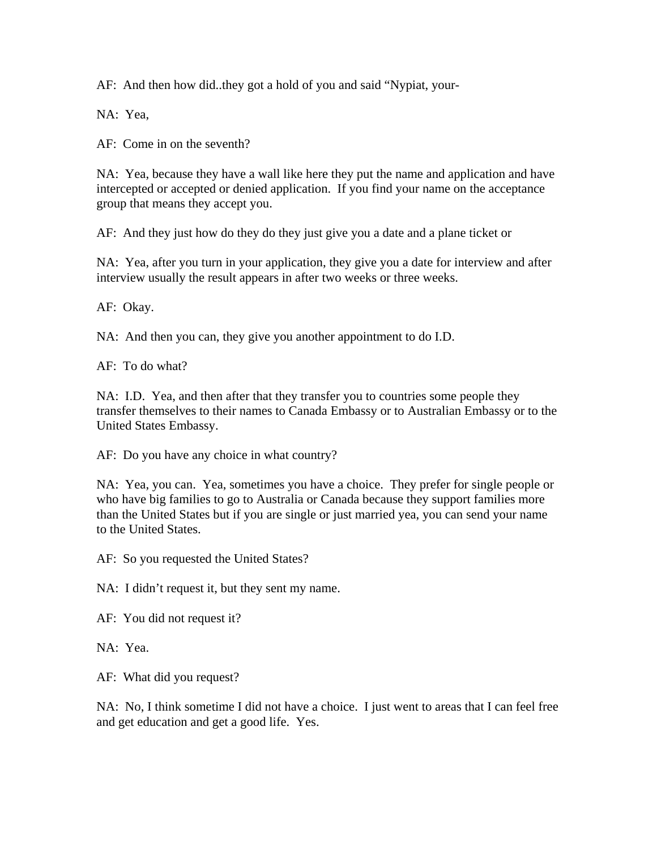AF: And then how did..they got a hold of you and said "Nypiat, your-

NA: Yea,

AF: Come in on the seventh?

NA: Yea, because they have a wall like here they put the name and application and have intercepted or accepted or denied application. If you find your name on the acceptance group that means they accept you.

AF: And they just how do they do they just give you a date and a plane ticket or

NA: Yea, after you turn in your application, they give you a date for interview and after interview usually the result appears in after two weeks or three weeks.

AF: Okay.

NA: And then you can, they give you another appointment to do I.D.

AF: To do what?

NA: I.D. Yea, and then after that they transfer you to countries some people they transfer themselves to their names to Canada Embassy or to Australian Embassy or to the United States Embassy.

AF: Do you have any choice in what country?

NA: Yea, you can. Yea, sometimes you have a choice. They prefer for single people or who have big families to go to Australia or Canada because they support families more than the United States but if you are single or just married yea, you can send your name to the United States.

AF: So you requested the United States?

NA: I didn't request it, but they sent my name.

AF: You did not request it?

NA: Yea.

AF: What did you request?

NA: No, I think sometime I did not have a choice. I just went to areas that I can feel free and get education and get a good life. Yes.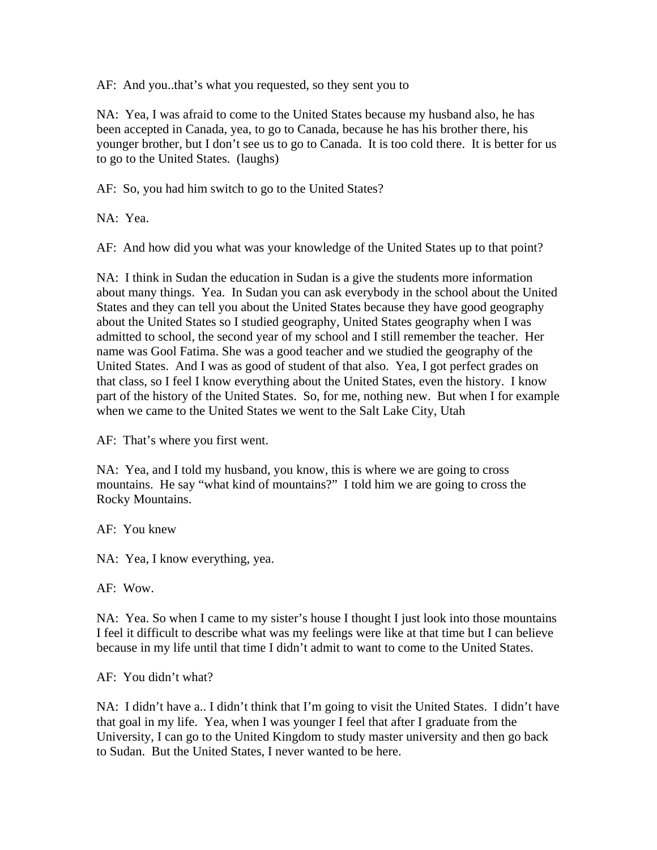AF: And you..that's what you requested, so they sent you to

NA: Yea, I was afraid to come to the United States because my husband also, he has been accepted in Canada, yea, to go to Canada, because he has his brother there, his younger brother, but I don't see us to go to Canada. It is too cold there. It is better for us to go to the United States. (laughs)

AF: So, you had him switch to go to the United States?

NA: Yea.

AF: And how did you what was your knowledge of the United States up to that point?

NA: I think in Sudan the education in Sudan is a give the students more information about many things. Yea. In Sudan you can ask everybody in the school about the United States and they can tell you about the United States because they have good geography about the United States so I studied geography, United States geography when I was admitted to school, the second year of my school and I still remember the teacher. Her name was Gool Fatima. She was a good teacher and we studied the geography of the United States. And I was as good of student of that also. Yea, I got perfect grades on that class, so I feel I know everything about the United States, even the history. I know part of the history of the United States. So, for me, nothing new. But when I for example when we came to the United States we went to the Salt Lake City, Utah

AF: That's where you first went.

NA: Yea, and I told my husband, you know, this is where we are going to cross mountains. He say "what kind of mountains?" I told him we are going to cross the Rocky Mountains.

AF: You knew

NA: Yea, I know everything, yea.

AF: Wow.

NA: Yea. So when I came to my sister's house I thought I just look into those mountains I feel it difficult to describe what was my feelings were like at that time but I can believe because in my life until that time I didn't admit to want to come to the United States.

AF: You didn't what?

NA: I didn't have a.. I didn't think that I'm going to visit the United States. I didn't have that goal in my life. Yea, when I was younger I feel that after I graduate from the University, I can go to the United Kingdom to study master university and then go back to Sudan. But the United States, I never wanted to be here.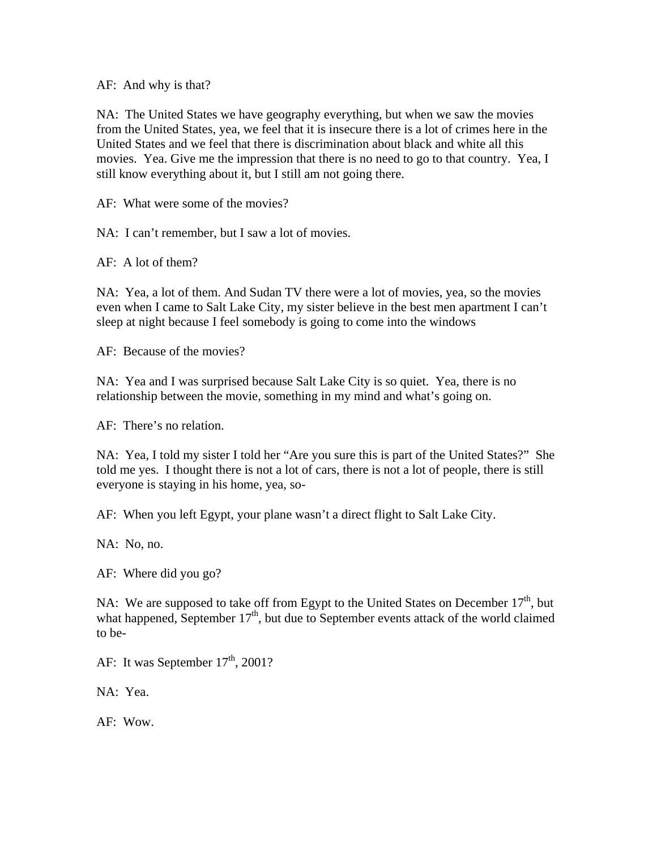AF: And why is that?

NA: The United States we have geography everything, but when we saw the movies from the United States, yea, we feel that it is insecure there is a lot of crimes here in the United States and we feel that there is discrimination about black and white all this movies. Yea. Give me the impression that there is no need to go to that country. Yea, I still know everything about it, but I still am not going there.

AF: What were some of the movies?

NA: I can't remember, but I saw a lot of movies.

AF: A lot of them?

NA: Yea, a lot of them. And Sudan TV there were a lot of movies, yea, so the movies even when I came to Salt Lake City, my sister believe in the best men apartment I can't sleep at night because I feel somebody is going to come into the windows

AF: Because of the movies?

NA: Yea and I was surprised because Salt Lake City is so quiet. Yea, there is no relationship between the movie, something in my mind and what's going on.

AF: There's no relation.

NA: Yea, I told my sister I told her "Are you sure this is part of the United States?" She told me yes. I thought there is not a lot of cars, there is not a lot of people, there is still everyone is staying in his home, yea, so-

AF: When you left Egypt, your plane wasn't a direct flight to Salt Lake City.

NA: No, no.

AF: Where did you go?

NA: We are supposed to take off from Egypt to the United States on December  $17<sup>th</sup>$ , but what happened, September  $17<sup>th</sup>$ , but due to September events attack of the world claimed to be-

AF: It was September  $17<sup>th</sup>$ , 2001?

NA: Yea.

AF: Wow.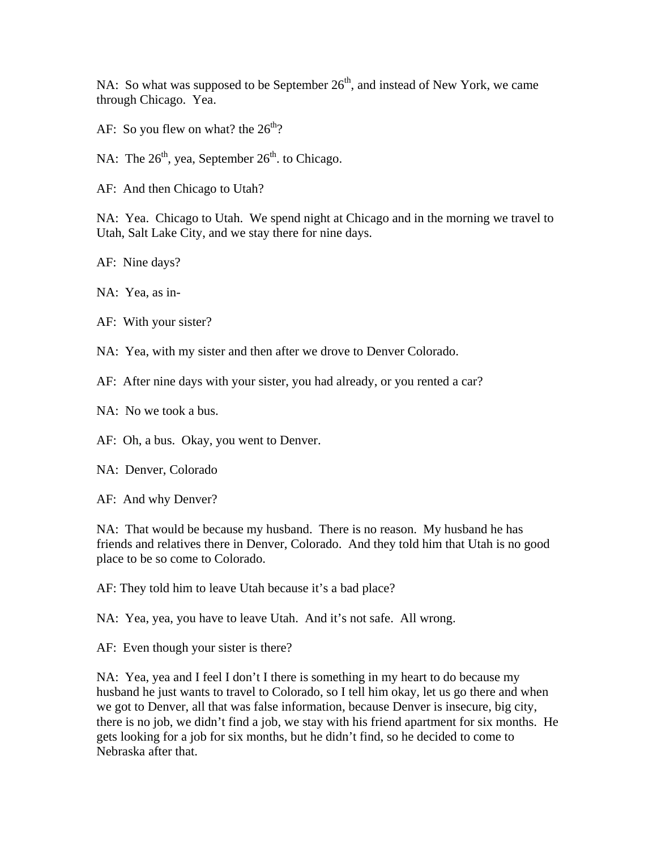NA: So what was supposed to be September  $26<sup>th</sup>$ , and instead of New York, we came through Chicago. Yea.

- AF: So you flew on what? the  $26<sup>th</sup>$ ?
- NA: The  $26<sup>th</sup>$ , yea, September  $26<sup>th</sup>$ . to Chicago.
- AF: And then Chicago to Utah?

NA: Yea. Chicago to Utah. We spend night at Chicago and in the morning we travel to Utah, Salt Lake City, and we stay there for nine days.

AF: Nine days?

NA: Yea, as in-

AF: With your sister?

NA: Yea, with my sister and then after we drove to Denver Colorado.

AF: After nine days with your sister, you had already, or you rented a car?

NA: No we took a bus.

AF: Oh, a bus. Okay, you went to Denver.

NA: Denver, Colorado

AF: And why Denver?

NA: That would be because my husband. There is no reason. My husband he has friends and relatives there in Denver, Colorado. And they told him that Utah is no good place to be so come to Colorado.

AF: They told him to leave Utah because it's a bad place?

NA: Yea, yea, you have to leave Utah. And it's not safe. All wrong.

AF: Even though your sister is there?

NA: Yea, yea and I feel I don't I there is something in my heart to do because my husband he just wants to travel to Colorado, so I tell him okay, let us go there and when we got to Denver, all that was false information, because Denver is insecure, big city, there is no job, we didn't find a job, we stay with his friend apartment for six months. He gets looking for a job for six months, but he didn't find, so he decided to come to Nebraska after that.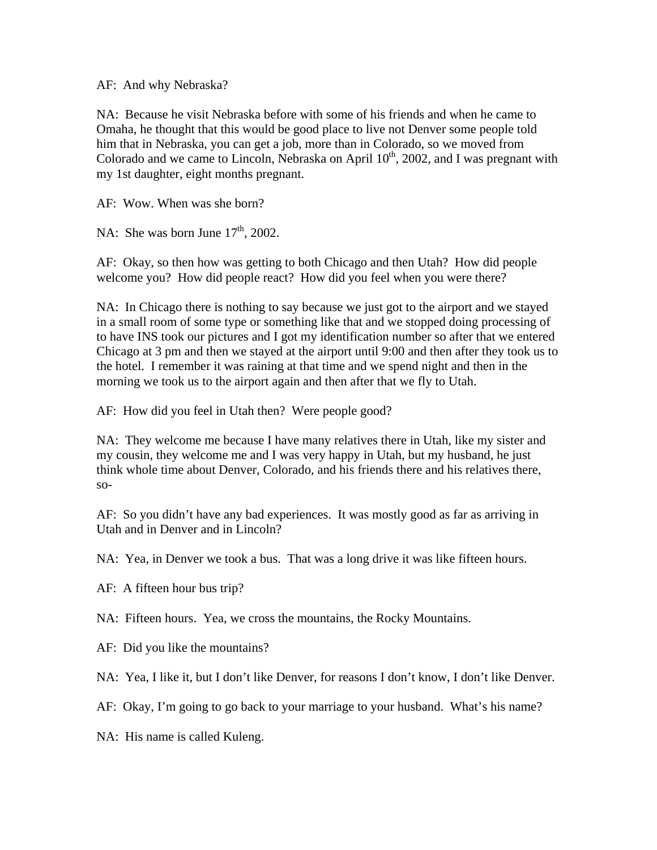AF: And why Nebraska?

NA: Because he visit Nebraska before with some of his friends and when he came to Omaha, he thought that this would be good place to live not Denver some people told him that in Nebraska, you can get a job, more than in Colorado, so we moved from Colorado and we came to Lincoln, Nebraska on April  $10^{th}$ , 2002, and I was pregnant with my 1st daughter, eight months pregnant.

AF: Wow. When was she born?

NA: She was born June  $17<sup>th</sup>$ , 2002.

AF: Okay, so then how was getting to both Chicago and then Utah? How did people welcome you? How did people react? How did you feel when you were there?

NA: In Chicago there is nothing to say because we just got to the airport and we stayed in a small room of some type or something like that and we stopped doing processing of to have INS took our pictures and I got my identification number so after that we entered Chicago at 3 pm and then we stayed at the airport until 9:00 and then after they took us to the hotel. I remember it was raining at that time and we spend night and then in the morning we took us to the airport again and then after that we fly to Utah.

AF: How did you feel in Utah then? Were people good?

NA: They welcome me because I have many relatives there in Utah, like my sister and my cousin, they welcome me and I was very happy in Utah, but my husband, he just think whole time about Denver, Colorado, and his friends there and his relatives there, so-

AF: So you didn't have any bad experiences. It was mostly good as far as arriving in Utah and in Denver and in Lincoln?

NA: Yea, in Denver we took a bus. That was a long drive it was like fifteen hours.

AF: A fifteen hour bus trip?

NA: Fifteen hours. Yea, we cross the mountains, the Rocky Mountains.

AF: Did you like the mountains?

NA: Yea, I like it, but I don't like Denver, for reasons I don't know, I don't like Denver.

AF: Okay, I'm going to go back to your marriage to your husband. What's his name?

NA: His name is called Kuleng.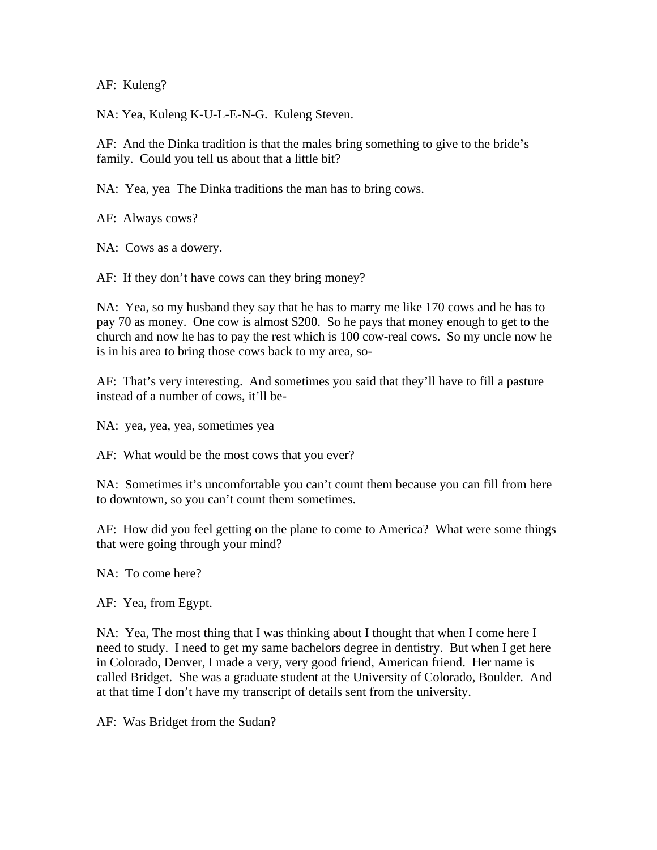AF: Kuleng?

NA: Yea, Kuleng K-U-L-E-N-G. Kuleng Steven.

AF: And the Dinka tradition is that the males bring something to give to the bride's family. Could you tell us about that a little bit?

NA: Yea, yea The Dinka traditions the man has to bring cows.

AF: Always cows?

NA: Cows as a dowery.

AF: If they don't have cows can they bring money?

NA: Yea, so my husband they say that he has to marry me like 170 cows and he has to pay 70 as money. One cow is almost \$200. So he pays that money enough to get to the church and now he has to pay the rest which is 100 cow-real cows. So my uncle now he is in his area to bring those cows back to my area, so-

AF: That's very interesting. And sometimes you said that they'll have to fill a pasture instead of a number of cows, it'll be-

NA: yea, yea, yea, sometimes yea

AF: What would be the most cows that you ever?

NA: Sometimes it's uncomfortable you can't count them because you can fill from here to downtown, so you can't count them sometimes.

AF: How did you feel getting on the plane to come to America? What were some things that were going through your mind?

NA: To come here?

AF: Yea, from Egypt.

NA: Yea, The most thing that I was thinking about I thought that when I come here I need to study. I need to get my same bachelors degree in dentistry. But when I get here in Colorado, Denver, I made a very, very good friend, American friend. Her name is called Bridget. She was a graduate student at the University of Colorado, Boulder. And at that time I don't have my transcript of details sent from the university.

AF: Was Bridget from the Sudan?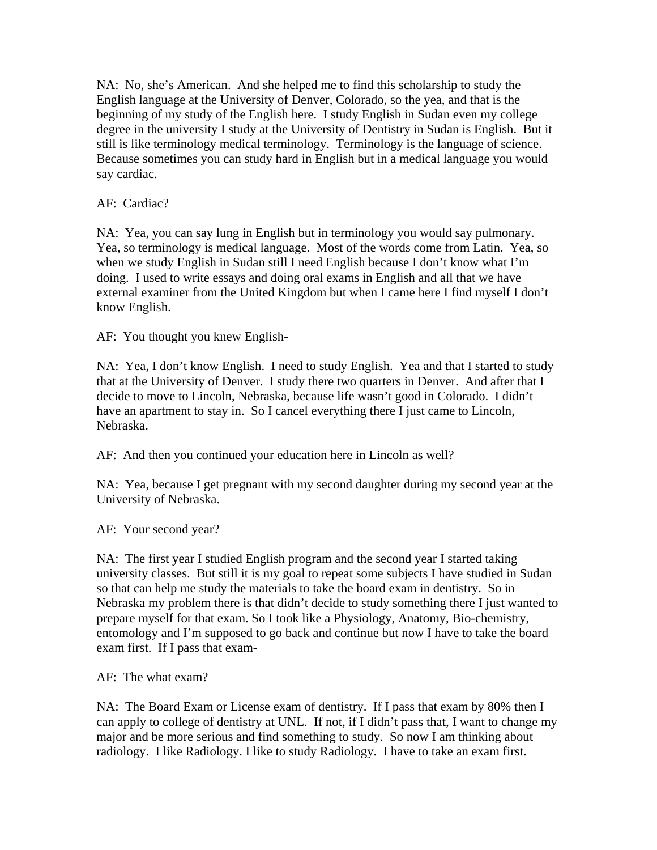NA: No, she's American. And she helped me to find this scholarship to study the English language at the University of Denver, Colorado, so the yea, and that is the beginning of my study of the English here. I study English in Sudan even my college degree in the university I study at the University of Dentistry in Sudan is English. But it still is like terminology medical terminology. Terminology is the language of science. Because sometimes you can study hard in English but in a medical language you would say cardiac.

AF: Cardiac?

NA: Yea, you can say lung in English but in terminology you would say pulmonary. Yea, so terminology is medical language. Most of the words come from Latin. Yea, so when we study English in Sudan still I need English because I don't know what I'm doing. I used to write essays and doing oral exams in English and all that we have external examiner from the United Kingdom but when I came here I find myself I don't know English.

AF: You thought you knew English-

NA: Yea, I don't know English. I need to study English. Yea and that I started to study that at the University of Denver. I study there two quarters in Denver. And after that I decide to move to Lincoln, Nebraska, because life wasn't good in Colorado. I didn't have an apartment to stay in. So I cancel everything there I just came to Lincoln, Nebraska.

AF: And then you continued your education here in Lincoln as well?

NA: Yea, because I get pregnant with my second daughter during my second year at the University of Nebraska.

AF: Your second year?

NA: The first year I studied English program and the second year I started taking university classes. But still it is my goal to repeat some subjects I have studied in Sudan so that can help me study the materials to take the board exam in dentistry. So in Nebraska my problem there is that didn't decide to study something there I just wanted to prepare myself for that exam. So I took like a Physiology, Anatomy, Bio-chemistry, entomology and I'm supposed to go back and continue but now I have to take the board exam first. If I pass that exam-

AF: The what exam?

NA: The Board Exam or License exam of dentistry. If I pass that exam by 80% then I can apply to college of dentistry at UNL. If not, if I didn't pass that, I want to change my major and be more serious and find something to study. So now I am thinking about radiology. I like Radiology. I like to study Radiology. I have to take an exam first.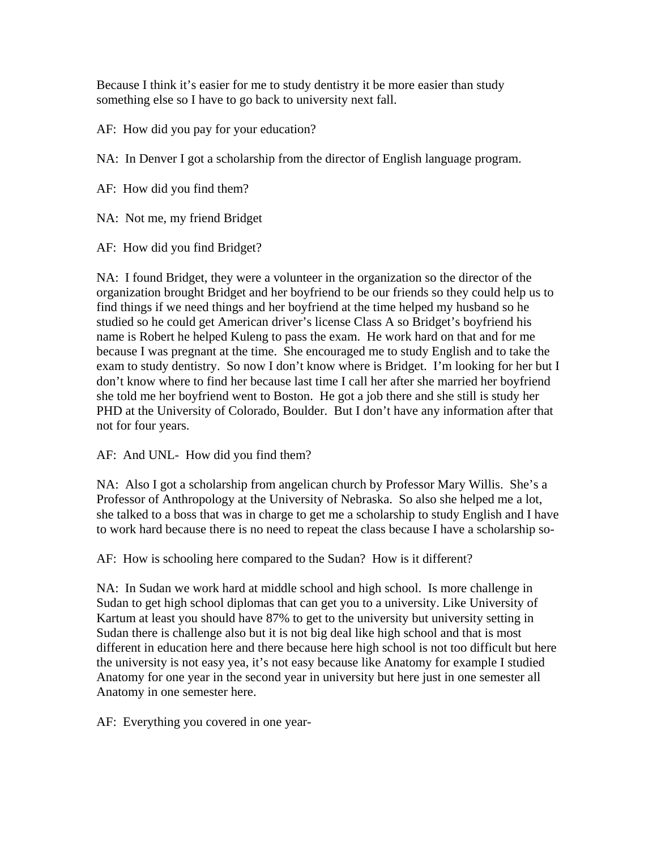Because I think it's easier for me to study dentistry it be more easier than study something else so I have to go back to university next fall.

AF: How did you pay for your education?

NA: In Denver I got a scholarship from the director of English language program.

AF: How did you find them?

NA: Not me, my friend Bridget

AF: How did you find Bridget?

NA: I found Bridget, they were a volunteer in the organization so the director of the organization brought Bridget and her boyfriend to be our friends so they could help us to find things if we need things and her boyfriend at the time helped my husband so he studied so he could get American driver's license Class A so Bridget's boyfriend his name is Robert he helped Kuleng to pass the exam. He work hard on that and for me because I was pregnant at the time. She encouraged me to study English and to take the exam to study dentistry. So now I don't know where is Bridget. I'm looking for her but I don't know where to find her because last time I call her after she married her boyfriend she told me her boyfriend went to Boston. He got a job there and she still is study her PHD at the University of Colorado, Boulder. But I don't have any information after that not for four years.

AF: And UNL- How did you find them?

NA: Also I got a scholarship from angelican church by Professor Mary Willis. She's a Professor of Anthropology at the University of Nebraska. So also she helped me a lot, she talked to a boss that was in charge to get me a scholarship to study English and I have to work hard because there is no need to repeat the class because I have a scholarship so-

AF: How is schooling here compared to the Sudan? How is it different?

NA: In Sudan we work hard at middle school and high school. Is more challenge in Sudan to get high school diplomas that can get you to a university. Like University of Kartum at least you should have 87% to get to the university but university setting in Sudan there is challenge also but it is not big deal like high school and that is most different in education here and there because here high school is not too difficult but here the university is not easy yea, it's not easy because like Anatomy for example I studied Anatomy for one year in the second year in university but here just in one semester all Anatomy in one semester here.

AF: Everything you covered in one year-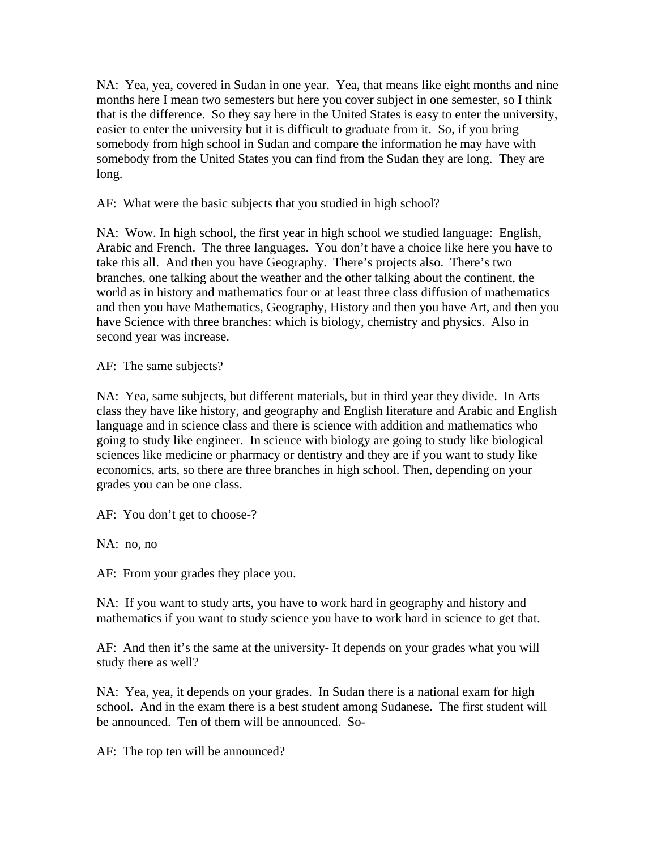NA: Yea, yea, covered in Sudan in one year. Yea, that means like eight months and nine months here I mean two semesters but here you cover subject in one semester, so I think that is the difference. So they say here in the United States is easy to enter the university, easier to enter the university but it is difficult to graduate from it. So, if you bring somebody from high school in Sudan and compare the information he may have with somebody from the United States you can find from the Sudan they are long. They are long.

AF: What were the basic subjects that you studied in high school?

NA: Wow. In high school, the first year in high school we studied language: English, Arabic and French. The three languages. You don't have a choice like here you have to take this all. And then you have Geography. There's projects also. There's two branches, one talking about the weather and the other talking about the continent, the world as in history and mathematics four or at least three class diffusion of mathematics and then you have Mathematics, Geography, History and then you have Art, and then you have Science with three branches: which is biology, chemistry and physics. Also in second year was increase.

AF: The same subjects?

NA: Yea, same subjects, but different materials, but in third year they divide. In Arts class they have like history, and geography and English literature and Arabic and English language and in science class and there is science with addition and mathematics who going to study like engineer. In science with biology are going to study like biological sciences like medicine or pharmacy or dentistry and they are if you want to study like economics, arts, so there are three branches in high school. Then, depending on your grades you can be one class.

AF: You don't get to choose-?

NA: no, no

AF: From your grades they place you.

NA: If you want to study arts, you have to work hard in geography and history and mathematics if you want to study science you have to work hard in science to get that.

AF: And then it's the same at the university- It depends on your grades what you will study there as well?

NA: Yea, yea, it depends on your grades. In Sudan there is a national exam for high school. And in the exam there is a best student among Sudanese. The first student will be announced. Ten of them will be announced. So-

AF: The top ten will be announced?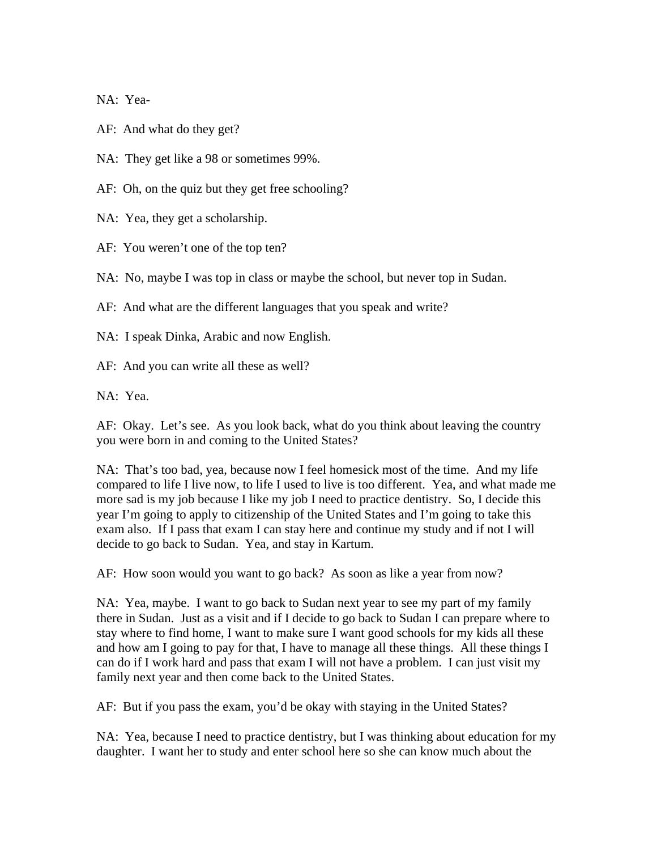NA: Yea-

AF: And what do they get?

NA: They get like a 98 or sometimes 99%.

AF: Oh, on the quiz but they get free schooling?

NA: Yea, they get a scholarship.

AF: You weren't one of the top ten?

NA: No, maybe I was top in class or maybe the school, but never top in Sudan.

AF: And what are the different languages that you speak and write?

NA: I speak Dinka, Arabic and now English.

AF: And you can write all these as well?

NA: Yea.

AF: Okay. Let's see. As you look back, what do you think about leaving the country you were born in and coming to the United States?

NA: That's too bad, yea, because now I feel homesick most of the time. And my life compared to life I live now, to life I used to live is too different. Yea, and what made me more sad is my job because I like my job I need to practice dentistry. So, I decide this year I'm going to apply to citizenship of the United States and I'm going to take this exam also. If I pass that exam I can stay here and continue my study and if not I will decide to go back to Sudan. Yea, and stay in Kartum.

AF: How soon would you want to go back? As soon as like a year from now?

NA: Yea, maybe. I want to go back to Sudan next year to see my part of my family there in Sudan. Just as a visit and if I decide to go back to Sudan I can prepare where to stay where to find home, I want to make sure I want good schools for my kids all these and how am I going to pay for that, I have to manage all these things. All these things I can do if I work hard and pass that exam I will not have a problem. I can just visit my family next year and then come back to the United States.

AF: But if you pass the exam, you'd be okay with staying in the United States?

NA: Yea, because I need to practice dentistry, but I was thinking about education for my daughter. I want her to study and enter school here so she can know much about the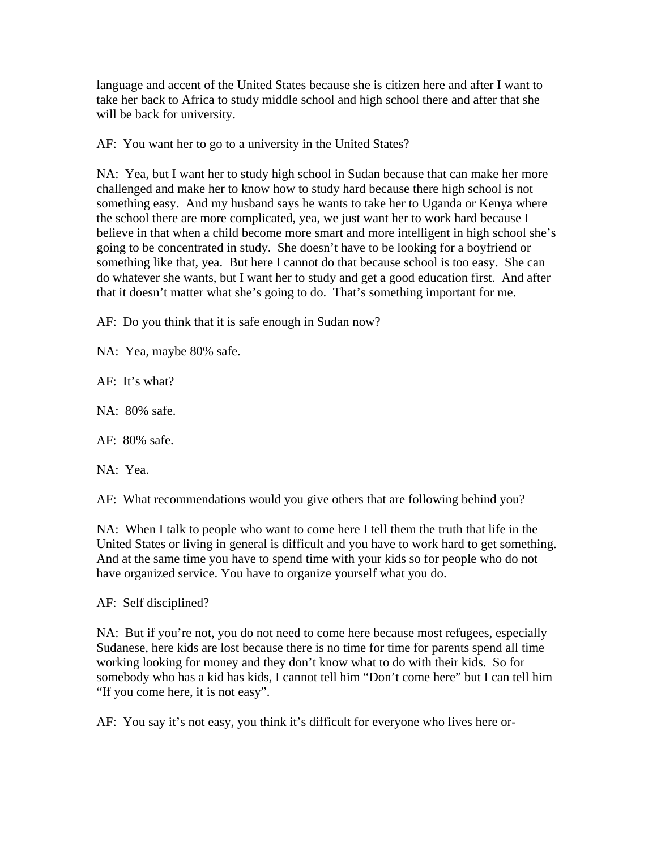language and accent of the United States because she is citizen here and after I want to take her back to Africa to study middle school and high school there and after that she will be back for university.

AF: You want her to go to a university in the United States?

NA: Yea, but I want her to study high school in Sudan because that can make her more challenged and make her to know how to study hard because there high school is not something easy. And my husband says he wants to take her to Uganda or Kenya where the school there are more complicated, yea, we just want her to work hard because I believe in that when a child become more smart and more intelligent in high school she's going to be concentrated in study. She doesn't have to be looking for a boyfriend or something like that, yea. But here I cannot do that because school is too easy. She can do whatever she wants, but I want her to study and get a good education first. And after that it doesn't matter what she's going to do. That's something important for me.

AF: Do you think that it is safe enough in Sudan now?

NA: Yea, maybe 80% safe.

AF: It's what?

NA: 80% safe.

AF: 80% safe.

NA: Yea.

AF: What recommendations would you give others that are following behind you?

NA: When I talk to people who want to come here I tell them the truth that life in the United States or living in general is difficult and you have to work hard to get something. And at the same time you have to spend time with your kids so for people who do not have organized service. You have to organize yourself what you do.

AF: Self disciplined?

NA: But if you're not, you do not need to come here because most refugees, especially Sudanese, here kids are lost because there is no time for time for parents spend all time working looking for money and they don't know what to do with their kids. So for somebody who has a kid has kids, I cannot tell him "Don't come here" but I can tell him "If you come here, it is not easy".

AF: You say it's not easy, you think it's difficult for everyone who lives here or-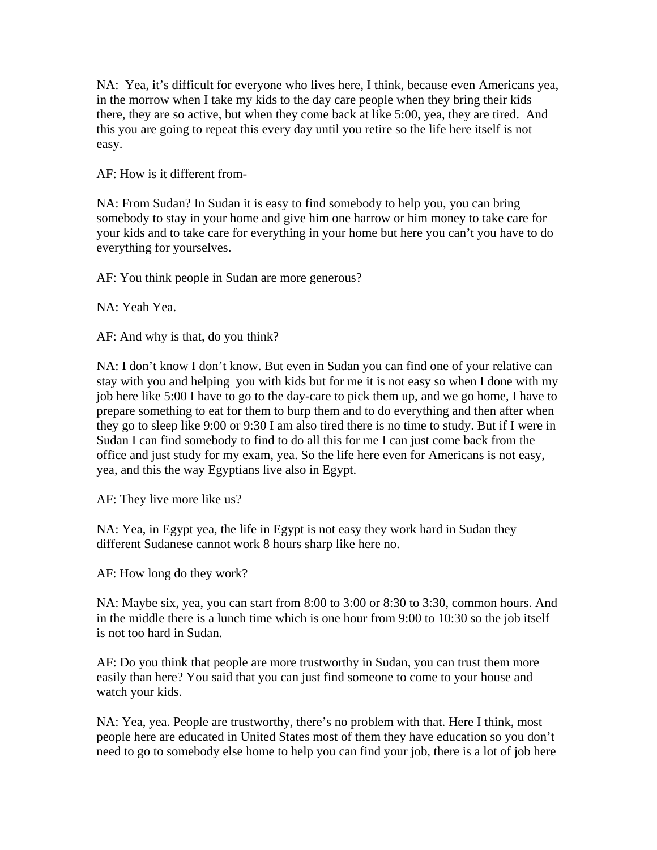NA: Yea, it's difficult for everyone who lives here, I think, because even Americans yea, in the morrow when I take my kids to the day care people when they bring their kids there, they are so active, but when they come back at like 5:00, yea, they are tired. And this you are going to repeat this every day until you retire so the life here itself is not easy.

AF: How is it different from-

NA: From Sudan? In Sudan it is easy to find somebody to help you, you can bring somebody to stay in your home and give him one harrow or him money to take care for your kids and to take care for everything in your home but here you can't you have to do everything for yourselves.

AF: You think people in Sudan are more generous?

NA: Yeah Yea.

AF: And why is that, do you think?

NA: I don't know I don't know. But even in Sudan you can find one of your relative can stay with you and helping you with kids but for me it is not easy so when I done with my job here like 5:00 I have to go to the day-care to pick them up, and we go home, I have to prepare something to eat for them to burp them and to do everything and then after when they go to sleep like 9:00 or 9:30 I am also tired there is no time to study. But if I were in Sudan I can find somebody to find to do all this for me I can just come back from the office and just study for my exam, yea. So the life here even for Americans is not easy, yea, and this the way Egyptians live also in Egypt.

AF: They live more like us?

NA: Yea, in Egypt yea, the life in Egypt is not easy they work hard in Sudan they different Sudanese cannot work 8 hours sharp like here no.

AF: How long do they work?

NA: Maybe six, yea, you can start from 8:00 to 3:00 or 8:30 to 3:30, common hours. And in the middle there is a lunch time which is one hour from 9:00 to 10:30 so the job itself is not too hard in Sudan.

AF: Do you think that people are more trustworthy in Sudan, you can trust them more easily than here? You said that you can just find someone to come to your house and watch your kids.

NA: Yea, yea. People are trustworthy, there's no problem with that. Here I think, most people here are educated in United States most of them they have education so you don't need to go to somebody else home to help you can find your job, there is a lot of job here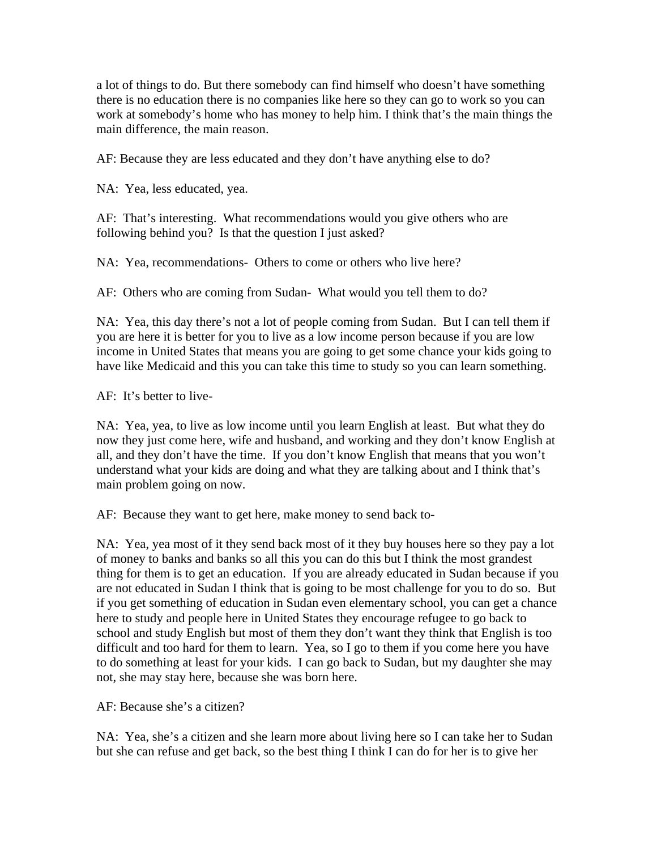a lot of things to do. But there somebody can find himself who doesn't have something there is no education there is no companies like here so they can go to work so you can work at somebody's home who has money to help him. I think that's the main things the main difference, the main reason.

AF: Because they are less educated and they don't have anything else to do?

NA: Yea, less educated, yea.

AF: That's interesting. What recommendations would you give others who are following behind you? Is that the question I just asked?

NA: Yea, recommendations- Others to come or others who live here?

AF: Others who are coming from Sudan- What would you tell them to do?

NA: Yea, this day there's not a lot of people coming from Sudan. But I can tell them if you are here it is better for you to live as a low income person because if you are low income in United States that means you are going to get some chance your kids going to have like Medicaid and this you can take this time to study so you can learn something.

AF: It's better to live-

NA: Yea, yea, to live as low income until you learn English at least. But what they do now they just come here, wife and husband, and working and they don't know English at all, and they don't have the time. If you don't know English that means that you won't understand what your kids are doing and what they are talking about and I think that's main problem going on now.

AF: Because they want to get here, make money to send back to-

NA: Yea, yea most of it they send back most of it they buy houses here so they pay a lot of money to banks and banks so all this you can do this but I think the most grandest thing for them is to get an education. If you are already educated in Sudan because if you are not educated in Sudan I think that is going to be most challenge for you to do so. But if you get something of education in Sudan even elementary school, you can get a chance here to study and people here in United States they encourage refugee to go back to school and study English but most of them they don't want they think that English is too difficult and too hard for them to learn. Yea, so I go to them if you come here you have to do something at least for your kids. I can go back to Sudan, but my daughter she may not, she may stay here, because she was born here.

AF: Because she's a citizen?

NA: Yea, she's a citizen and she learn more about living here so I can take her to Sudan but she can refuse and get back, so the best thing I think I can do for her is to give her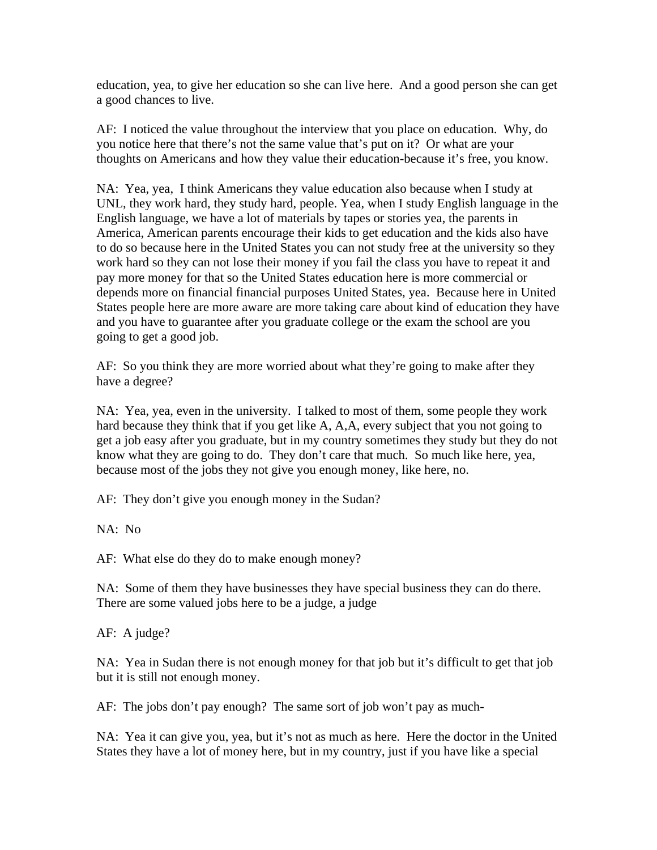education, yea, to give her education so she can live here. And a good person she can get a good chances to live.

AF: I noticed the value throughout the interview that you place on education. Why, do you notice here that there's not the same value that's put on it? Or what are your thoughts on Americans and how they value their education-because it's free, you know.

NA: Yea, yea, I think Americans they value education also because when I study at UNL, they work hard, they study hard, people. Yea, when I study English language in the English language, we have a lot of materials by tapes or stories yea, the parents in America, American parents encourage their kids to get education and the kids also have to do so because here in the United States you can not study free at the university so they work hard so they can not lose their money if you fail the class you have to repeat it and pay more money for that so the United States education here is more commercial or depends more on financial financial purposes United States, yea. Because here in United States people here are more aware are more taking care about kind of education they have and you have to guarantee after you graduate college or the exam the school are you going to get a good job.

AF: So you think they are more worried about what they're going to make after they have a degree?

NA: Yea, yea, even in the university. I talked to most of them, some people they work hard because they think that if you get like A, A, A, every subject that you not going to get a job easy after you graduate, but in my country sometimes they study but they do not know what they are going to do. They don't care that much. So much like here, yea, because most of the jobs they not give you enough money, like here, no.

AF: They don't give you enough money in the Sudan?

NA: No

AF: What else do they do to make enough money?

NA: Some of them they have businesses they have special business they can do there. There are some valued jobs here to be a judge, a judge

AF: A judge?

NA: Yea in Sudan there is not enough money for that job but it's difficult to get that job but it is still not enough money.

AF: The jobs don't pay enough? The same sort of job won't pay as much-

NA: Yea it can give you, yea, but it's not as much as here. Here the doctor in the United States they have a lot of money here, but in my country, just if you have like a special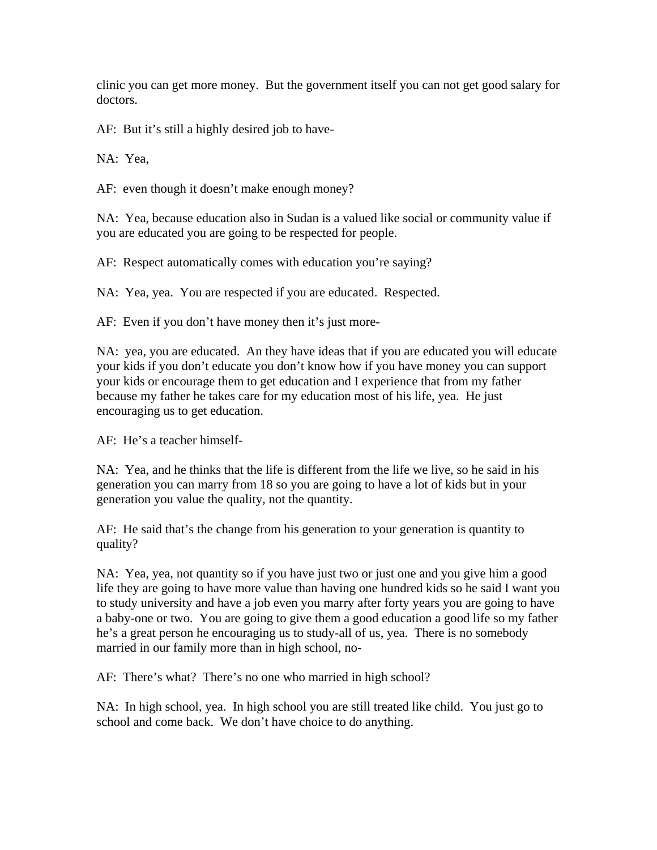clinic you can get more money. But the government itself you can not get good salary for doctors.

AF: But it's still a highly desired job to have-

NA: Yea,

AF: even though it doesn't make enough money?

NA: Yea, because education also in Sudan is a valued like social or community value if you are educated you are going to be respected for people.

AF: Respect automatically comes with education you're saying?

NA: Yea, yea. You are respected if you are educated. Respected.

AF: Even if you don't have money then it's just more-

NA: yea, you are educated. An they have ideas that if you are educated you will educate your kids if you don't educate you don't know how if you have money you can support your kids or encourage them to get education and I experience that from my father because my father he takes care for my education most of his life, yea. He just encouraging us to get education.

AF: He's a teacher himself-

NA: Yea, and he thinks that the life is different from the life we live, so he said in his generation you can marry from 18 so you are going to have a lot of kids but in your generation you value the quality, not the quantity.

AF: He said that's the change from his generation to your generation is quantity to quality?

NA: Yea, yea, not quantity so if you have just two or just one and you give him a good life they are going to have more value than having one hundred kids so he said I want you to study university and have a job even you marry after forty years you are going to have a baby-one or two. You are going to give them a good education a good life so my father he's a great person he encouraging us to study-all of us, yea. There is no somebody married in our family more than in high school, no-

AF: There's what? There's no one who married in high school?

NA: In high school, yea. In high school you are still treated like child. You just go to school and come back. We don't have choice to do anything.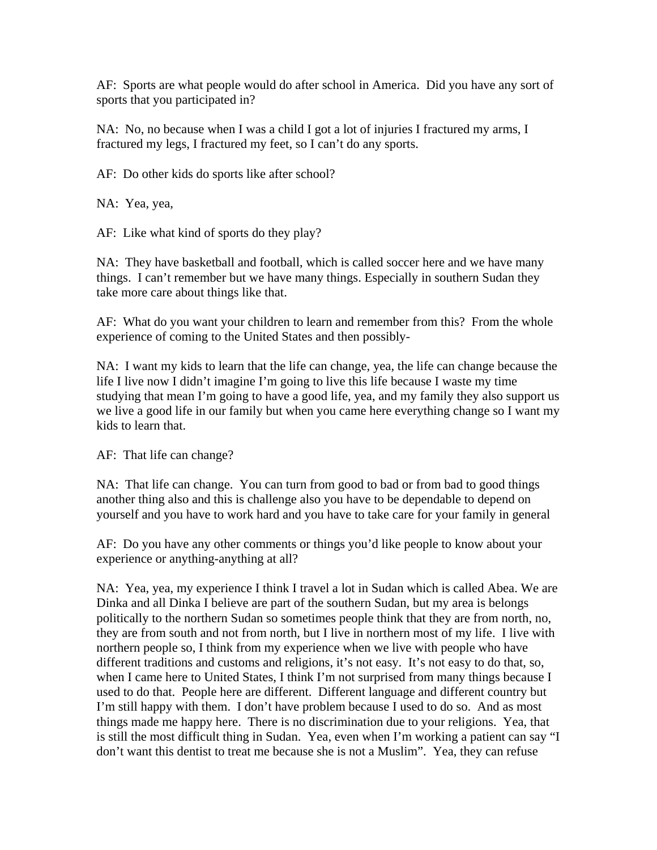AF: Sports are what people would do after school in America. Did you have any sort of sports that you participated in?

NA: No, no because when I was a child I got a lot of injuries I fractured my arms, I fractured my legs, I fractured my feet, so I can't do any sports.

AF: Do other kids do sports like after school?

NA: Yea, yea,

AF: Like what kind of sports do they play?

NA: They have basketball and football, which is called soccer here and we have many things. I can't remember but we have many things. Especially in southern Sudan they take more care about things like that.

AF: What do you want your children to learn and remember from this? From the whole experience of coming to the United States and then possibly-

NA: I want my kids to learn that the life can change, yea, the life can change because the life I live now I didn't imagine I'm going to live this life because I waste my time studying that mean I'm going to have a good life, yea, and my family they also support us we live a good life in our family but when you came here everything change so I want my kids to learn that.

AF: That life can change?

NA: That life can change. You can turn from good to bad or from bad to good things another thing also and this is challenge also you have to be dependable to depend on yourself and you have to work hard and you have to take care for your family in general

AF: Do you have any other comments or things you'd like people to know about your experience or anything-anything at all?

NA: Yea, yea, my experience I think I travel a lot in Sudan which is called Abea. We are Dinka and all Dinka I believe are part of the southern Sudan, but my area is belongs politically to the northern Sudan so sometimes people think that they are from north, no, they are from south and not from north, but I live in northern most of my life. I live with northern people so, I think from my experience when we live with people who have different traditions and customs and religions, it's not easy. It's not easy to do that, so, when I came here to United States, I think I'm not surprised from many things because I used to do that. People here are different. Different language and different country but I'm still happy with them. I don't have problem because I used to do so. And as most things made me happy here. There is no discrimination due to your religions. Yea, that is still the most difficult thing in Sudan. Yea, even when I'm working a patient can say "I don't want this dentist to treat me because she is not a Muslim". Yea, they can refuse